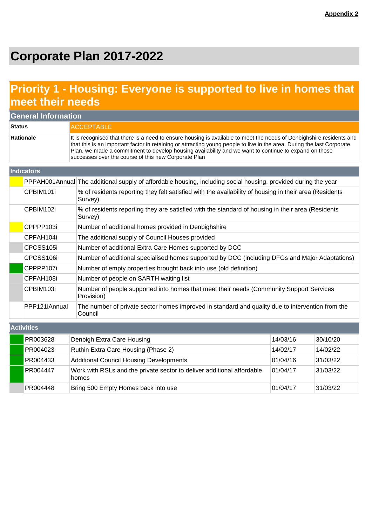# **Corporate Plan 2017-2022**

## **Priority 1 - Housing: Everyone is supported to live in homes that meet their needs**

| <b>General Information</b> |                                                                                                                    |                                                                                                                                                                                                                                                                                                                                                                                                                  |          |          |  |  |
|----------------------------|--------------------------------------------------------------------------------------------------------------------|------------------------------------------------------------------------------------------------------------------------------------------------------------------------------------------------------------------------------------------------------------------------------------------------------------------------------------------------------------------------------------------------------------------|----------|----------|--|--|
| <b>Status</b>              |                                                                                                                    | <b>ACCEPTABLE</b>                                                                                                                                                                                                                                                                                                                                                                                                |          |          |  |  |
| <b>Rationale</b>           |                                                                                                                    | It is recognised that there is a need to ensure housing is available to meet the needs of Denbighshire residents and<br>that this is an important factor in retaining or attracting young people to live in the area. During the last Corporate<br>Plan, we made a commitment to develop housing availability and we want to continue to expand on those<br>successes over the course of this new Corporate Plan |          |          |  |  |
|                            | Indicators                                                                                                         |                                                                                                                                                                                                                                                                                                                                                                                                                  |          |          |  |  |
|                            |                                                                                                                    | PPPAH001Annual The additional supply of affordable housing, including social housing, provided during the year                                                                                                                                                                                                                                                                                                   |          |          |  |  |
|                            | CPBIM101i                                                                                                          | % of residents reporting they felt satisfied with the availability of housing in their area (Residents<br>Survey)                                                                                                                                                                                                                                                                                                |          |          |  |  |
|                            | CPBIM102i                                                                                                          | % of residents reporting they are satisfied with the standard of housing in their area (Residents<br>Survey)                                                                                                                                                                                                                                                                                                     |          |          |  |  |
|                            | CPPPP103i                                                                                                          | Number of additional homes provided in Denbighshire                                                                                                                                                                                                                                                                                                                                                              |          |          |  |  |
|                            | CPFAH104i                                                                                                          | The additional supply of Council Houses provided                                                                                                                                                                                                                                                                                                                                                                 |          |          |  |  |
|                            | CPCSS105i                                                                                                          | Number of additional Extra Care Homes supported by DCC                                                                                                                                                                                                                                                                                                                                                           |          |          |  |  |
|                            | CPCSS106i<br>Number of additional specialised homes supported by DCC (including DFGs and Major Adaptations)        |                                                                                                                                                                                                                                                                                                                                                                                                                  |          |          |  |  |
|                            | CPPPP107i                                                                                                          | Number of empty properties brought back into use (old definition)                                                                                                                                                                                                                                                                                                                                                |          |          |  |  |
|                            | CPFAH108i                                                                                                          | Number of people on SARTH waiting list                                                                                                                                                                                                                                                                                                                                                                           |          |          |  |  |
|                            | Number of people supported into homes that meet their needs (Community Support Services<br>CPBIM103i<br>Provision) |                                                                                                                                                                                                                                                                                                                                                                                                                  |          |          |  |  |
|                            | PPP121iAnnual                                                                                                      | The number of private sector homes improved in standard and quality due to intervention from the<br>Council                                                                                                                                                                                                                                                                                                      |          |          |  |  |
|                            | <b>Activities</b>                                                                                                  |                                                                                                                                                                                                                                                                                                                                                                                                                  |          |          |  |  |
|                            | PR003628                                                                                                           | Denbigh Extra Care Housing                                                                                                                                                                                                                                                                                                                                                                                       | 14/03/16 | 30/10/20 |  |  |
|                            | PR004023                                                                                                           | Ruthin Extra Care Housing (Phase 2)                                                                                                                                                                                                                                                                                                                                                                              | 14/02/17 | 14/02/22 |  |  |
|                            | PR004433                                                                                                           | <b>Additional Council Housing Developments</b>                                                                                                                                                                                                                                                                                                                                                                   | 01/04/16 | 31/03/22 |  |  |
|                            | PR004447                                                                                                           | Work with RSLs and the private sector to deliver additional affordable<br>homes                                                                                                                                                                                                                                                                                                                                  | 01/04/17 | 31/03/22 |  |  |
|                            | PR004448                                                                                                           | Bring 500 Empty Homes back into use                                                                                                                                                                                                                                                                                                                                                                              | 01/04/17 | 31/03/22 |  |  |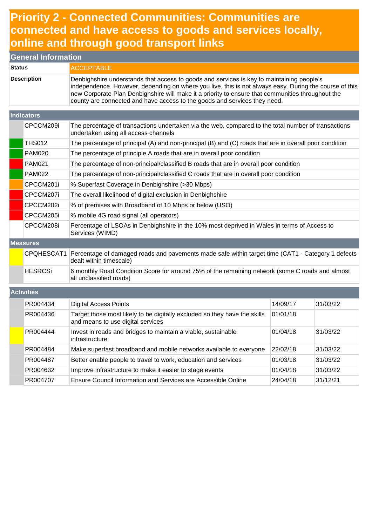### **Priority 2 - Connected Communities: Communities are connected and have access to goods and services locally, online and through good transport links**

| <b>General Information</b>                                               |                   |                                                                                                                                                                                                                                                                                                                                                                                       |          |          |  |
|--------------------------------------------------------------------------|-------------------|---------------------------------------------------------------------------------------------------------------------------------------------------------------------------------------------------------------------------------------------------------------------------------------------------------------------------------------------------------------------------------------|----------|----------|--|
| <b>Status</b>                                                            |                   | <b>ACCEPTABLE</b>                                                                                                                                                                                                                                                                                                                                                                     |          |          |  |
| <b>Description</b>                                                       |                   | Denbighshire understands that access to goods and services is key to maintaining people's<br>independence. However, depending on where you live, this is not always easy. During the course of this<br>new Corporate Plan Denbighshire will make it a priority to ensure that communities throughout the<br>county are connected and have access to the goods and services they need. |          |          |  |
|                                                                          | Indicators        |                                                                                                                                                                                                                                                                                                                                                                                       |          |          |  |
|                                                                          | CPCCM209i         | The percentage of transactions undertaken via the web, compared to the total number of transactions<br>undertaken using all access channels                                                                                                                                                                                                                                           |          |          |  |
|                                                                          | <b>THS012</b>     | The percentage of principal (A) and non-principal (B) and (C) roads that are in overall poor condition                                                                                                                                                                                                                                                                                |          |          |  |
|                                                                          | <b>PAM020</b>     | The percentage of principle A roads that are in overall poor condition                                                                                                                                                                                                                                                                                                                |          |          |  |
|                                                                          | <b>PAM021</b>     | The percentage of non-principal/classified B roads that are in overall poor condition                                                                                                                                                                                                                                                                                                 |          |          |  |
|                                                                          | <b>PAM022</b>     | The percentage of non-principal/classified C roads that are in overall poor condition                                                                                                                                                                                                                                                                                                 |          |          |  |
|                                                                          | CPCCM201i         | % Superfast Coverage in Denbighshire (>30 Mbps)                                                                                                                                                                                                                                                                                                                                       |          |          |  |
| The overall likelihood of digital exclusion in Denbighshire<br>CPCCM207i |                   |                                                                                                                                                                                                                                                                                                                                                                                       |          |          |  |
|                                                                          | CPCCM202i         | % of premises with Broadband of 10 Mbps or below (USO)                                                                                                                                                                                                                                                                                                                                |          |          |  |
|                                                                          | CPCCM205i         | % mobile 4G road signal (all operators)                                                                                                                                                                                                                                                                                                                                               |          |          |  |
|                                                                          | CPCCM208i         | Percentage of LSOAs in Denbighshire in the 10% most deprived in Wales in terms of Access to<br>Services (WIMD)                                                                                                                                                                                                                                                                        |          |          |  |
|                                                                          | <b>Measures</b>   |                                                                                                                                                                                                                                                                                                                                                                                       |          |          |  |
|                                                                          | CPQHESCAT1        | Percentage of damaged roads and pavements made safe within target time (CAT1 - Category 1 defects<br>dealt within timescale)                                                                                                                                                                                                                                                          |          |          |  |
|                                                                          | <b>HESRCSi</b>    | 6 monthly Road Condition Score for around 75% of the remaining network (some C roads and almost<br>all unclassified roads)                                                                                                                                                                                                                                                            |          |          |  |
|                                                                          | <b>Activities</b> |                                                                                                                                                                                                                                                                                                                                                                                       |          |          |  |
|                                                                          | PR004434          | <b>Digital Access Points</b>                                                                                                                                                                                                                                                                                                                                                          | 14/09/17 | 31/03/22 |  |
|                                                                          | PR004436          | Target those most likely to be digitally excluded so they have the skills<br>and means to use digital services                                                                                                                                                                                                                                                                        | 01/01/18 |          |  |
|                                                                          | PR004444          | Invest in roads and bridges to maintain a viable, sustainable<br>infrastructure                                                                                                                                                                                                                                                                                                       | 01/04/18 | 31/03/22 |  |
|                                                                          | PR004484          | Make superfast broadband and mobile networks available to everyone                                                                                                                                                                                                                                                                                                                    | 22/02/18 | 31/03/22 |  |
|                                                                          | PR004487          | Better enable people to travel to work, education and services                                                                                                                                                                                                                                                                                                                        | 01/03/18 | 31/03/22 |  |
|                                                                          | PR004632          | Improve infrastructure to make it easier to stage events                                                                                                                                                                                                                                                                                                                              | 01/04/18 | 31/03/22 |  |
|                                                                          | PR004707          | Ensure Council Information and Services are Accessible Online                                                                                                                                                                                                                                                                                                                         | 24/04/18 | 31/12/21 |  |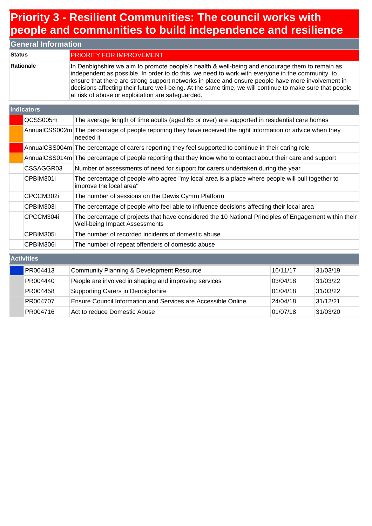## **Priority 3 - Resilient Communities: The council works with people and communities to build independence and resilience**

| <b>General Information</b> |                                                                                                                                                                                                                                                                                                                                                                                                                                                                          |  |  |  |
|----------------------------|--------------------------------------------------------------------------------------------------------------------------------------------------------------------------------------------------------------------------------------------------------------------------------------------------------------------------------------------------------------------------------------------------------------------------------------------------------------------------|--|--|--|
| <b>Status</b>              | <b>PRIORITY FOR IMPROVEMENT</b>                                                                                                                                                                                                                                                                                                                                                                                                                                          |  |  |  |
| Rationale                  | In Denbighshire we aim to promote people's health & well-being and encourage them to remain as<br>independent as possible. In order to do this, we need to work with everyone in the community, to<br>ensure that there are strong support networks in place and ensure people have more involvement in<br>decisions affecting their future well-being. At the same time, we will continue to make sure that people<br>at risk of abuse or exploitation are safeguarded. |  |  |  |

#### **Indicators**

| QCSS005m  | The average length of time adults (aged 65 or over) are supported in residential care homes                                                   |
|-----------|-----------------------------------------------------------------------------------------------------------------------------------------------|
|           | AnnualCSS002m The percentage of people reporting they have received the right information or advice when they<br>needed it                    |
|           | AnnualCSS004m The percentage of carers reporting they feel supported to continue in their caring role                                         |
|           | AnnualCSS014m The percentage of people reporting that they know who to contact about their care and support                                   |
| CSSAGGR03 | Number of assessments of need for support for carers undertaken during the year                                                               |
| CPBIM301i | The percentage of people who agree "my local area is a place where people will pull together to<br>improve the local area"                    |
| CPCCM302i | The number of sessions on the Dewis Cymru Platform                                                                                            |
| CPBIM303i | The percentage of people who feel able to influence decisions affecting their local area                                                      |
| CPCCM304i | The percentage of projects that have considered the 10 National Principles of Engagement within their<br><b>Well-being Impact Assessments</b> |
| CPBIM305i | The number of recorded incidents of domestic abuse                                                                                            |
| CPBIM306i | The number of repeat offenders of domestic abuse                                                                                              |

#### **Activities**

| PR004413 | Community Planning & Development Resource                            | 16/11/17 | 31/03/19 |
|----------|----------------------------------------------------------------------|----------|----------|
| PR004440 | People are involved in shaping and improving services                | 03/04/18 | 31/03/22 |
| PR004458 | Supporting Carers in Denbighshire                                    | 01/04/18 | 31/03/22 |
| PR004707 | <b>Ensure Council Information and Services are Accessible Online</b> | 24/04/18 | 31/12/21 |
| PR004716 | Act to reduce Domestic Abuse                                         | 01/07/18 | 31/03/20 |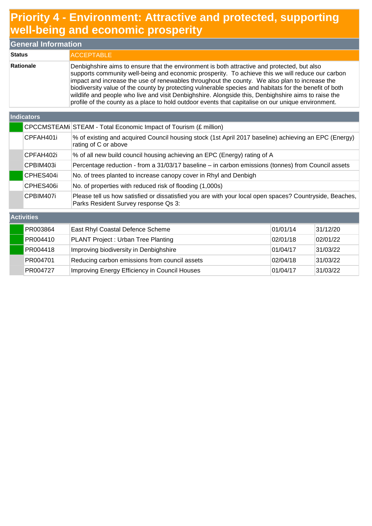## **Priority 4 - Environment: Attractive and protected, supporting well-being and economic prosperity**

| <b>General Information</b> |                                                                                                                                                                                                                                                                                                                                                                                                                                                                                                                                                                                                                         |  |  |  |
|----------------------------|-------------------------------------------------------------------------------------------------------------------------------------------------------------------------------------------------------------------------------------------------------------------------------------------------------------------------------------------------------------------------------------------------------------------------------------------------------------------------------------------------------------------------------------------------------------------------------------------------------------------------|--|--|--|
| <b>Status</b>              | <b>IACCEPTABLE</b>                                                                                                                                                                                                                                                                                                                                                                                                                                                                                                                                                                                                      |  |  |  |
| Rationale                  | Denbighshire aims to ensure that the environment is both attractive and protected, but also<br>supports community well-being and economic prosperity. To achieve this we will reduce our carbon<br>impact and increase the use of renewables throughout the county. We also plan to increase the<br>biodiversity value of the county by protecting vulnerable species and habitats for the benefit of both<br>wildlife and people who live and visit Denbighshire. Alongside this, Denbighshire aims to raise the<br>profile of the county as a place to hold outdoor events that capitalise on our unique environment. |  |  |  |

#### **Indicators**

**Activities**

|           | CPCCMSTEAMi STEAM - Total Economic Impact of Tourism (£ million)                                                                                |
|-----------|-------------------------------------------------------------------------------------------------------------------------------------------------|
| CPFAH401i | % of existing and acquired Council housing stock (1st April 2017 baseline) achieving an EPC (Energy)<br>rating of C or above                    |
| CPFAH402i | % of all new build council housing achieving an EPC (Energy) rating of A                                                                        |
| CPBIM403i | Percentage reduction - from a 31/03/17 baseline - in carbon emissions (tonnes) from Council assets                                              |
| CPHES404i | No. of trees planted to increase canopy cover in Rhyl and Denbigh                                                                               |
| CPHES406i | No. of properties with reduced risk of flooding (1,000s)                                                                                        |
| CPBIM407i | Please tell us how satisfied or dissatisfied you are with your local open spaces? Countryside, Beaches,<br>Parks Resident Survey response Qs 3: |

| PR003864 | East Rhyl Coastal Defence Scheme              | 01/01/14 | 31/12/20 |  |
|----------|-----------------------------------------------|----------|----------|--|
| PR004410 | PLANT Project: Urban Tree Planting            | 02/01/18 | 02/01/22 |  |
| PR004418 | Improving biodiversity in Denbighshire        | 01/04/17 | 31/03/22 |  |
| PR004701 | Reducing carbon emissions from council assets | 02/04/18 | 31/03/22 |  |
| PR004727 | Improving Energy Efficiency in Council Houses | 01/04/17 | 31/03/22 |  |